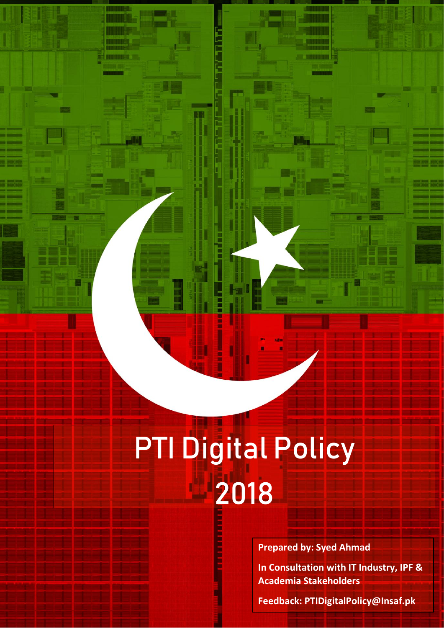# PTI Digital Policy 2018 ı İ

P T I D I D I G I C O L P O L I G I C O L P O L I G I C O L P

i<br>Fil

i

 $\overline{a}$ 

 $\overline{a}$ 

ļ

j

j

I

i.

l

Ī

**Prepared by: Syed Ahmad**

**In Consultation with IT Industry, IPF & Academia Stakeholders**

**Feedback: PTIDigitalPolicy@Insaf.pk**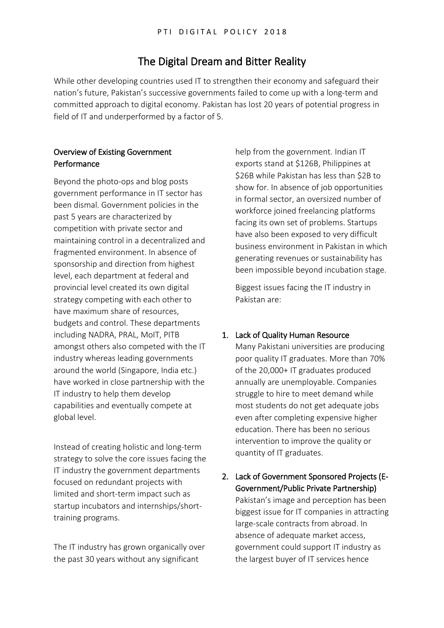## The Digital Dream and Bitter Reality

While other developing countries used IT to strengthen their economy and safeguard their nation's future, Pakistan's successive governments failed to come up with a long-term and committed approach to digital economy. Pakistan has lost 20 years of potential progress in field of IT and underperformed by a factor of 5.

#### Overview of Existing Government Performance

Beyond the photo-ops and blog posts government performance in IT sector has been dismal. Government policies in the past 5 years are characterized by competition with private sector and maintaining control in a decentralized and fragmented environment. In absence of sponsorship and direction from highest level, each department at federal and provincial level created its own digital strategy competing with each other to have maximum share of resources, budgets and control. These departments including NADRA, PRAL, MoIT, PITB amongst others also competed with the IT industry whereas leading governments around the world (Singapore, India etc.) have worked in close partnership with the IT industry to help them develop capabilities and eventually compete at global level.

Instead of creating holistic and long-term strategy to solve the core issues facing the IT industry the government departments focused on redundant projects with limited and short-term impact such as startup incubators and internships/shorttraining programs.

The IT industry has grown organically over the past 30 years without any significant

help from the government. Indian IT exports stand at \$126B, Philippines at \$26B while Pakistan has less than \$2B to show for. In absence of job opportunities in formal sector, an oversized number of workforce joined freelancing platforms facing its own set of problems. Startups have also been exposed to very difficult business environment in Pakistan in which generating revenues or sustainability has been impossible beyond incubation stage.

Biggest issues facing the IT industry in Pakistan are:

#### 1. Lack of Quality Human Resource

Many Pakistani universities are producing poor quality IT graduates. More than 70% of the 20,000+ IT graduates produced annually are unemployable. Companies struggle to hire to meet demand while most students do not get adequate jobs even after completing expensive higher education. There has been no serious intervention to improve the quality or quantity of IT graduates.

2. Lack of Government Sponsored Projects (E-Government/Public Private Partnership) Pakistan's image and perception has been biggest issue for IT companies in attracting large-scale contracts from abroad. In absence of adequate market access, government could support IT industry as the largest buyer of IT services hence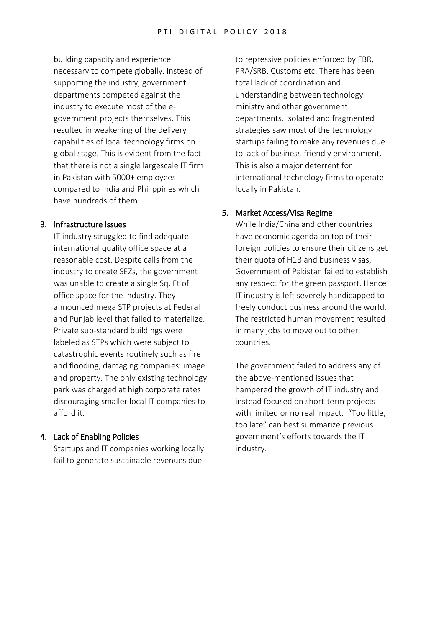building capacity and experience necessary to compete globally. Instead of supporting the industry, government departments competed against the industry to execute most of the egovernment projects themselves. This resulted in weakening of the delivery capabilities of local technology firms on global stage. This is evident from the fact that there is not a single largescale IT firm in Pakistan with 5000+ employees compared to India and Philippines which have hundreds of them.

#### 3. Infrastructure Issues

IT industry struggled to find adequate international quality office space at a reasonable cost. Despite calls from the industry to create SEZs, the government was unable to create a single Sq. Ft of office space for the industry. They announced mega STP projects at Federal and Punjab level that failed to materialize. Private sub-standard buildings were labeled as STPs which were subject to catastrophic events routinely such as fire and flooding, damaging companies' image and property. The only existing technology park was charged at high corporate rates discouraging smaller local IT companies to afford it.

#### 4. Lack of Enabling Policies

Startups and IT companies working locally fail to generate sustainable revenues due

to repressive policies enforced by FBR, PRA/SRB, Customs etc. There has been total lack of coordination and understanding between technology ministry and other government departments. Isolated and fragmented strategies saw most of the technology startups failing to make any revenues due to lack of business-friendly environment. This is also a major deterrent for international technology firms to operate locally in Pakistan.

#### 5. Market Access/Visa Regime

While India/China and other countries have economic agenda on top of their foreign policies to ensure their citizens get their quota of H1B and business visas, Government of Pakistan failed to establish any respect for the green passport. Hence IT industry is left severely handicapped to freely conduct business around the world. The restricted human movement resulted in many jobs to move out to other countries.

The government failed to address any of the above-mentioned issues that hampered the growth of IT industry and instead focused on short-term projects with limited or no real impact. "Too little, too late" can best summarize previous government's efforts towards the IT industry.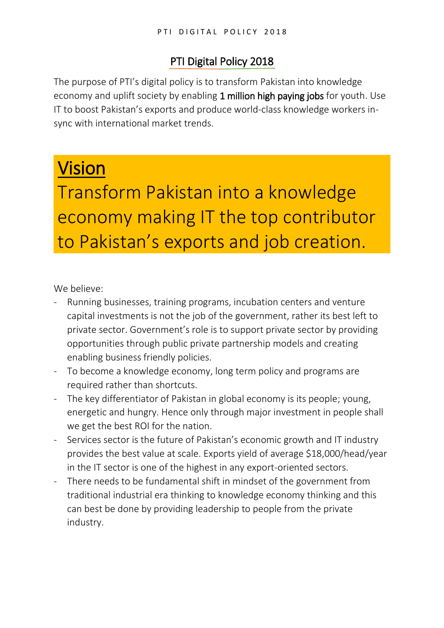# PTI Digital Policy 2018

The purpose of PTI's digital policy is to transform Pakistan into knowledge economy and uplift society by enabling 1 million high paying jobs for youth. Use IT to boost Pakistan's exports and produce world-class knowledge workers insync with international market trends.

# Vision

Transform Pakistan into a knowledge economy making IT the top contributor to Pakistan's exports and job creation.

We believe:

- Running businesses, training programs, incubation centers and venture capital investments is not the job of the government, rather its best left to private sector. Government's role is to support private sector by providing opportunities through public private partnership models and creating enabling business friendly policies.
- To become a knowledge economy, long term policy and programs are required rather than shortcuts.
- The key differentiator of Pakistan in global economy is its people; young, energetic and hungry. Hence only through major investment in people shall we get the best ROI for the nation.
- Services sector is the future of Pakistan's economic growth and IT industry provides the best value at scale. Exports yield of average \$18,000/head/year in the IT sector is one of the highest in any export-oriented sectors.
- There needs to be fundamental shift in mindset of the government from traditional industrial era thinking to knowledge economy thinking and this can best be done by providing leadership to people from the private industry.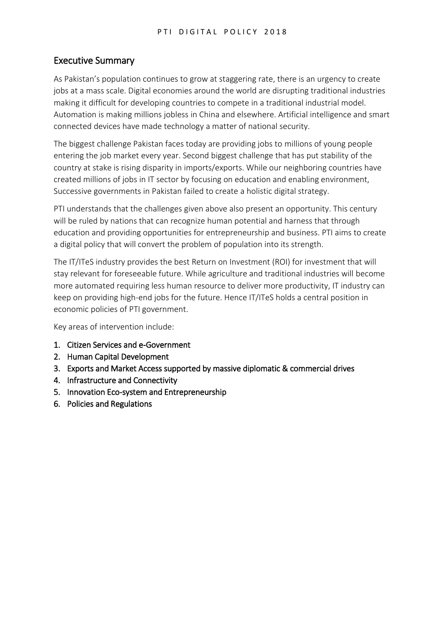## Executive Summary

As Pakistan's population continues to grow at staggering rate, there is an urgency to create jobs at a mass scale. Digital economies around the world are disrupting traditional industries making it difficult for developing countries to compete in a traditional industrial model. Automation is making millions jobless in China and elsewhere. Artificial intelligence and smart connected devices have made technology a matter of national security.

The biggest challenge Pakistan faces today are providing jobs to millions of young people entering the job market every year. Second biggest challenge that has put stability of the country at stake is rising disparity in imports/exports. While our neighboring countries have created millions of jobs in IT sector by focusing on education and enabling environment, Successive governments in Pakistan failed to create a holistic digital strategy.

PTI understands that the challenges given above also present an opportunity. This century will be ruled by nations that can recognize human potential and harness that through education and providing opportunities for entrepreneurship and business. PTI aims to create a digital policy that will convert the problem of population into its strength.

The IT/ITeS industry provides the best Return on Investment (ROI) for investment that will stay relevant for foreseeable future. While agriculture and traditional industries will become more automated requiring less human resource to deliver more productivity, IT industry can keep on providing high-end jobs for the future. Hence IT/ITeS holds a central position in economic policies of PTI government.

Key areas of intervention include:

- 1. Citizen Services and e-Government
- 2. Human Capital Development
- 3. Exports and Market Access supported by massive diplomatic & commercial drives
- 4. Infrastructure and Connectivity
- 5. Innovation Eco-system and Entrepreneurship
- 6. Policies and Regulations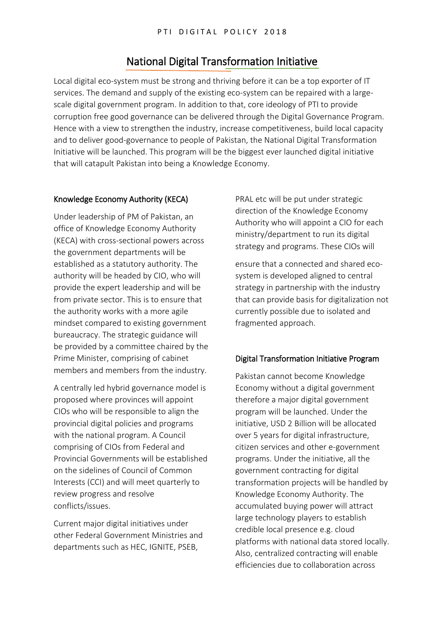## National Digital Transformation Initiative

Local digital eco-system must be strong and thriving before it can be a top exporter of IT services. The demand and supply of the existing eco-system can be repaired with a largescale digital government program. In addition to that, core ideology of PTI to provide corruption free good governance can be delivered through the Digital Governance Program. Hence with a view to strengthen the industry, increase competitiveness, build local capacity and to deliver good-governance to people of Pakistan, the National Digital Transformation Initiative will be launched. This program will be the biggest ever launched digital initiative that will catapult Pakistan into being a Knowledge Economy.

#### Knowledge Economy Authority (KECA)

Under leadership of PM of Pakistan, an office of Knowledge Economy Authority (KECA) with cross-sectional powers across the government departments will be established as a statutory authority. The authority will be headed by CIO, who will provide the expert leadership and will be from private sector. This is to ensure that the authority works with a more agile mindset compared to existing government bureaucracy. The strategic guidance will be provided by a committee chaired by the Prime Minister, comprising of cabinet members and members from the industry.

A centrally led hybrid governance model is proposed where provinces will appoint CIOs who will be responsible to align the provincial digital policies and programs with the national program. A Council comprising of CIOs from Federal and Provincial Governments will be established on the sidelines of Council of Common Interests (CCI) and will meet quarterly to review progress and resolve conflicts/issues.

Current major digital initiatives under other Federal Government Ministries and departments such as HEC, IGNITE, PSEB,

PRAL etc will be put under strategic direction of the Knowledge Economy Authority who will appoint a CIO for each ministry/department to run its digital strategy and programs. These CIOs will

ensure that a connected and shared ecosystem is developed aligned to central strategy in partnership with the industry that can provide basis for digitalization not currently possible due to isolated and fragmented approach.

#### Digital Transformation Initiative Program

Pakistan cannot become Knowledge Economy without a digital government therefore a major digital government program will be launched. Under the initiative, USD 2 Billion will be allocated over 5 years for digital infrastructure, citizen services and other e-government programs. Under the initiative, all the government contracting for digital transformation projects will be handled by Knowledge Economy Authority. The accumulated buying power will attract large technology players to establish credible local presence e.g. cloud platforms with national data stored locally. Also, centralized contracting will enable efficiencies due to collaboration across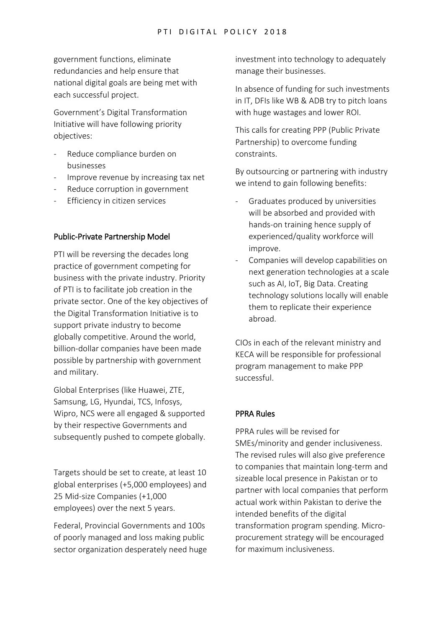government functions, eliminate redundancies and help ensure that national digital goals are being met with each successful project.

Government's Digital Transformation Initiative will have following priority objectives:

- Reduce compliance burden on businesses
- Improve revenue by increasing tax net
- Reduce corruption in government
- Efficiency in citizen services

#### Public-Private Partnership Model

PTI will be reversing the decades long practice of government competing for business with the private industry. Priority of PTI is to facilitate job creation in the private sector. One of the key objectives of the Digital Transformation Initiative is to support private industry to become globally competitive. Around the world, billion-dollar companies have been made possible by partnership with government and military.

Global Enterprises (like Huawei, ZTE, Samsung, LG, Hyundai, TCS, Infosys, Wipro, NCS were all engaged & supported by their respective Governments and subsequently pushed to compete globally.

Targets should be set to create, at least 10 global enterprises (+5,000 employees) and 25 Mid-size Companies (+1,000 employees) over the next 5 years.

Federal, Provincial Governments and 100s of poorly managed and loss making public sector organization desperately need huge investment into technology to adequately manage their businesses.

In absence of funding for such investments in IT, DFIs like WB & ADB try to pitch loans with huge wastages and lower ROI.

This calls for creating PPP (Public Private Partnership) to overcome funding constraints.

By outsourcing or partnering with industry we intend to gain following benefits:

- Graduates produced by universities will be absorbed and provided with hands-on training hence supply of experienced/quality workforce will improve.
- Companies will develop capabilities on next generation technologies at a scale such as AI, IoT, Big Data. Creating technology solutions locally will enable them to replicate their experience abroad.

CIOs in each of the relevant ministry and KECA will be responsible for professional program management to make PPP successful.

#### PPRA Rules

PPRA rules will be revised for SMEs/minority and gender inclusiveness. The revised rules will also give preference to companies that maintain long-term and sizeable local presence in Pakistan or to partner with local companies that perform actual work within Pakistan to derive the intended benefits of the digital transformation program spending. Microprocurement strategy will be encouraged for maximum inclusiveness.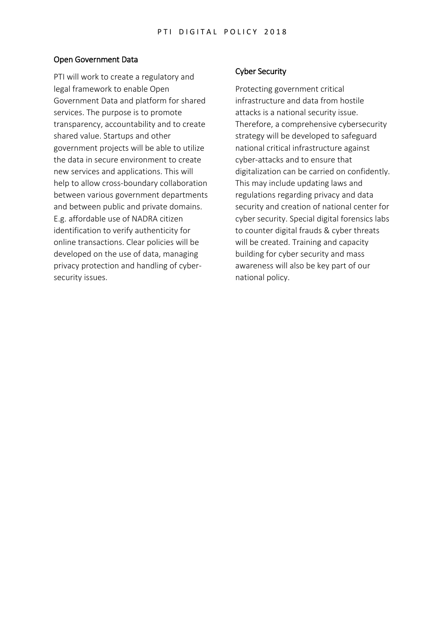#### Open Government Data

PTI will work to create a regulatory and legal framework to enable Open Government Data and platform for shared services. The purpose is to promote transparency, accountability and to create shared value. Startups and other government projects will be able to utilize the data in secure environment to create new services and applications. This will help to allow cross-boundary collaboration between various government departments and between public and private domains. E.g. affordable use of NADRA citizen identification to verify authenticity for online transactions. Clear policies will be developed on the use of data, managing privacy protection and handling of cybersecurity issues.

#### Cyber Security

Protecting government critical infrastructure and data from hostile attacks is a national security issue. Therefore, a comprehensive cybersecurity strategy will be developed to safeguard national critical infrastructure against cyber-attacks and to ensure that digitalization can be carried on confidently. This may include updating laws and regulations regarding privacy and data security and creation of national center for cyber security. Special digital forensics labs to counter digital frauds & cyber threats will be created. Training and capacity building for cyber security and mass awareness will also be key part of our national policy.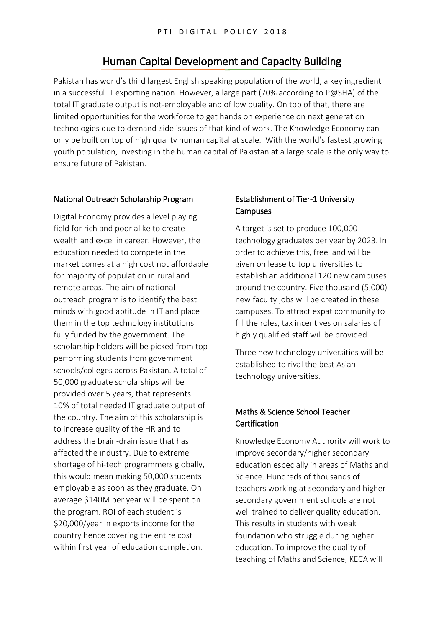## Human Capital Development and Capacity Building

Pakistan has world's third largest English speaking population of the world, a key ingredient in a successful IT exporting nation. However, a large part (70% according to P@SHA) of the total IT graduate output is not-employable and of low quality. On top of that, there are limited opportunities for the workforce to get hands on experience on next generation technologies due to demand-side issues of that kind of work. The Knowledge Economy can only be built on top of high quality human capital at scale. With the world's fastest growing youth population, investing in the human capital of Pakistan at a large scale is the only way to ensure future of Pakistan.

#### National Outreach Scholarship Program

Digital Economy provides a level playing field for rich and poor alike to create wealth and excel in career. However, the education needed to compete in the market comes at a high cost not affordable for majority of population in rural and remote areas. The aim of national outreach program is to identify the best minds with good aptitude in IT and place them in the top technology institutions fully funded by the government. The scholarship holders will be picked from top performing students from government schools/colleges across Pakistan. A total of 50,000 graduate scholarships will be provided over 5 years, that represents 10% of total needed IT graduate output of the country. The aim of this scholarship is to increase quality of the HR and to address the brain-drain issue that has affected the industry. Due to extreme shortage of hi-tech programmers globally, this would mean making 50,000 students employable as soon as they graduate. On average \$140M per year will be spent on the program. ROI of each student is \$20,000/year in exports income for the country hence covering the entire cost within first year of education completion.

#### Establishment of Tier-1 University **Campuses**

A target is set to produce 100,000 technology graduates per year by 2023. In order to achieve this, free land will be given on lease to top universities to establish an additional 120 new campuses around the country. Five thousand (5,000) new faculty jobs will be created in these campuses. To attract expat community to fill the roles, tax incentives on salaries of highly qualified staff will be provided.

Three new technology universities will be established to rival the best Asian technology universities.

### Maths & Science School Teacher **Certification**

Knowledge Economy Authority will work to improve secondary/higher secondary education especially in areas of Maths and Science. Hundreds of thousands of teachers working at secondary and higher secondary government schools are not well trained to deliver quality education. This results in students with weak foundation who struggle during higher education. To improve the quality of teaching of Maths and Science, KECA will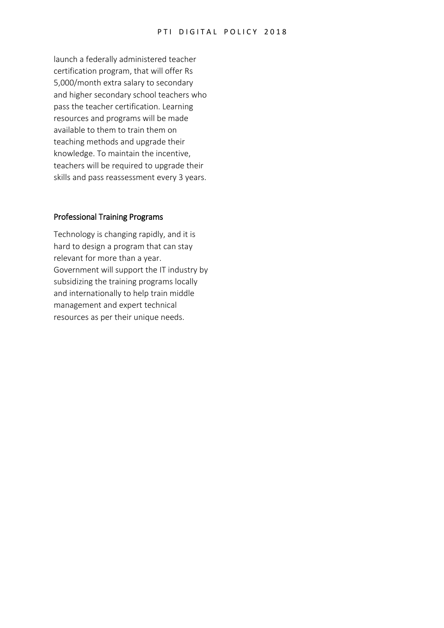launch a federally administered teacher certification program, that will offer Rs 5,000/month extra salary to secondary and higher secondary school teachers who pass the teacher certification. Learning resources and programs will be made available to them to train them on teaching methods and upgrade their knowledge. To maintain the incentive, teachers will be required to upgrade their skills and pass reassessment every 3 years.

#### Professional Training Programs

Technology is changing rapidly, and it is hard to design a program that can stay relevant for more than a year. Government will support the IT industry by subsidizing the training programs locally and internationally to help train middle management and expert technical resources as per their unique needs.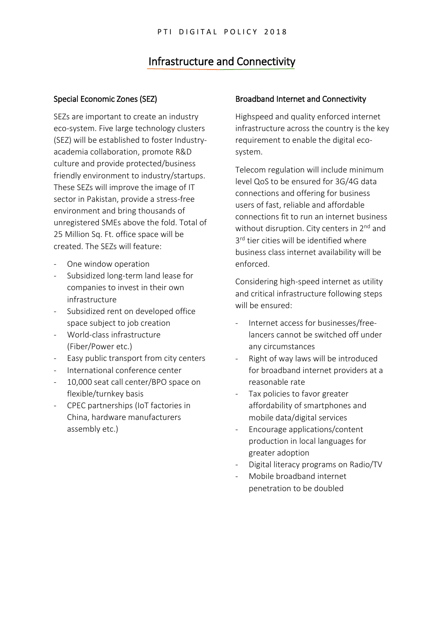## Infrastructure and Connectivity

#### Special Economic Zones (SEZ)

SEZs are important to create an industry eco-system. Five large technology clusters (SEZ) will be established to foster Industryacademia collaboration, promote R&D culture and provide protected/business friendly environment to industry/startups. These SEZs will improve the image of IT sector in Pakistan, provide a stress-free environment and bring thousands of unregistered SMEs above the fold. Total of 25 Million Sq. Ft. office space will be created. The SEZs will feature:

- One window operation
- Subsidized long-term land lease for companies to invest in their own infrastructure
- Subsidized rent on developed office space subject to job creation
- World-class infrastructure (Fiber/Power etc.)
- Easy public transport from city centers
- International conference center
- 10,000 seat call center/BPO space on flexible/turnkey basis
- CPEC partnerships (IoT factories in China, hardware manufacturers assembly etc.)

#### Broadband Internet and Connectivity

Highspeed and quality enforced internet infrastructure across the country is the key requirement to enable the digital ecosystem.

Telecom regulation will include minimum level QoS to be ensured for 3G/4G data connections and offering for business users of fast, reliable and affordable connections fit to run an internet business without disruption. City centers in 2<sup>nd</sup> and 3<sup>rd</sup> tier cities will be identified where business class internet availability will be enforced.

Considering high-speed internet as utility and critical infrastructure following steps will be ensured:

- Internet access for businesses/freelancers cannot be switched off under any circumstances
- Right of way laws will be introduced for broadband internet providers at a reasonable rate
- Tax policies to favor greater affordability of smartphones and mobile data/digital services
- Encourage applications/content production in local languages for greater adoption
- Digital literacy programs on Radio/TV
- Mobile broadband internet penetration to be doubled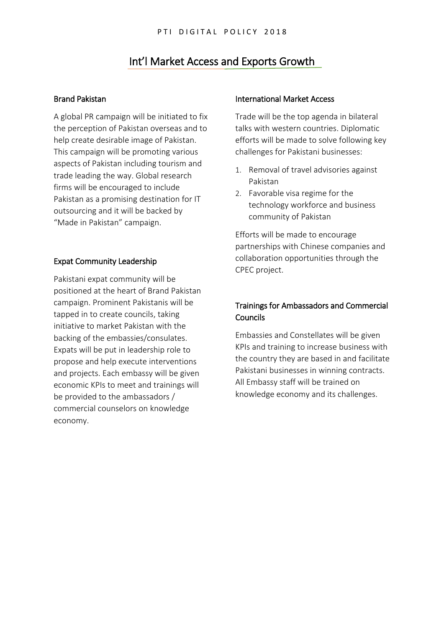## Int'l Market Access and Exports Growth

#### Brand Pakistan

A global PR campaign will be initiated to fix the perception of Pakistan overseas and to help create desirable image of Pakistan. This campaign will be promoting various aspects of Pakistan including tourism and trade leading the way. Global research firms will be encouraged to include Pakistan as a promising destination for IT outsourcing and it will be backed by "Made in Pakistan" campaign.

#### Expat Community Leadership

Pakistani expat community will be positioned at the heart of Brand Pakistan campaign. Prominent Pakistanis will be tapped in to create councils, taking initiative to market Pakistan with the backing of the embassies/consulates. Expats will be put in leadership role to propose and help execute interventions and projects. Each embassy will be given economic KPIs to meet and trainings will be provided to the ambassadors / commercial counselors on knowledge economy.

#### International Market Access

Trade will be the top agenda in bilateral talks with western countries. Diplomatic efforts will be made to solve following key challenges for Pakistani businesses:

- 1. Removal of travel advisories against Pakistan
- 2. Favorable visa regime for the technology workforce and business community of Pakistan

Efforts will be made to encourage partnerships with Chinese companies and collaboration opportunities through the CPEC project.

### Trainings for Ambassadors and Commercial Councils

Embassies and Constellates will be given KPIs and training to increase business with the country they are based in and facilitate Pakistani businesses in winning contracts. All Embassy staff will be trained on knowledge economy and its challenges.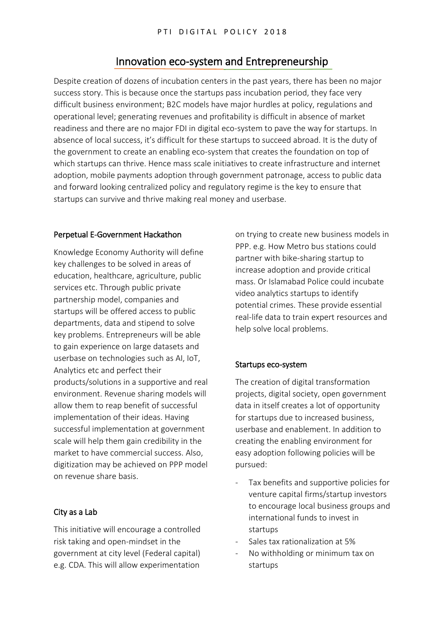## Innovation eco-system and Entrepreneurship

Despite creation of dozens of incubation centers in the past years, there has been no major success story. This is because once the startups pass incubation period, they face very difficult business environment; B2C models have major hurdles at policy, regulations and operational level; generating revenues and profitability is difficult in absence of market readiness and there are no major FDI in digital eco-system to pave the way for startups. In absence of local success, it's difficult for these startups to succeed abroad. It is the duty of the government to create an enabling eco-system that creates the foundation on top of which startups can thrive. Hence mass scale initiatives to create infrastructure and internet adoption, mobile payments adoption through government patronage, access to public data and forward looking centralized policy and regulatory regime is the key to ensure that startups can survive and thrive making real money and userbase.

#### Perpetual E-Government Hackathon

Knowledge Economy Authority will define key challenges to be solved in areas of education, healthcare, agriculture, public services etc. Through public private partnership model, companies and startups will be offered access to public departments, data and stipend to solve key problems. Entrepreneurs will be able to gain experience on large datasets and userbase on technologies such as AI, IoT, Analytics etc and perfect their products/solutions in a supportive and real environment. Revenue sharing models will allow them to reap benefit of successful implementation of their ideas. Having successful implementation at government scale will help them gain credibility in the market to have commercial success. Also, digitization may be achieved on PPP model on revenue share basis.

#### City as a Lab

This initiative will encourage a controlled risk taking and open-mindset in the government at city level (Federal capital) e.g. CDA. This will allow experimentation

on trying to create new business models in PPP. e.g. How Metro bus stations could partner with bike-sharing startup to increase adoption and provide critical mass. Or Islamabad Police could incubate video analytics startups to identify potential crimes. These provide essential real-life data to train expert resources and help solve local problems.

#### Startups eco-system

The creation of digital transformation projects, digital society, open government data in itself creates a lot of opportunity for startups due to increased business, userbase and enablement. In addition to creating the enabling environment for easy adoption following policies will be pursued:

- Tax benefits and supportive policies for venture capital firms/startup investors to encourage local business groups and international funds to invest in startups
- Sales tax rationalization at 5%
- No withholding or minimum tax on startups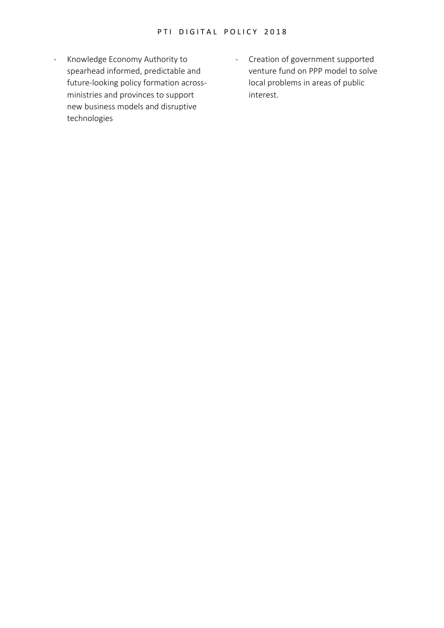- Knowledge Economy Authority to spearhead informed, predictable and future-looking policy formation acrossministries and provinces to support new business models and disruptive technologies
- Creation of government supported venture fund on PPP model to solve local problems in areas of public interest.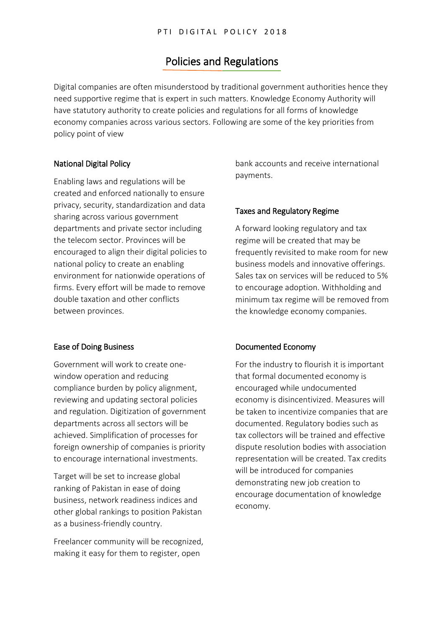## Policies and Regulations

Digital companies are often misunderstood by traditional government authorities hence they need supportive regime that is expert in such matters. Knowledge Economy Authority will have statutory authority to create policies and regulations for all forms of knowledge economy companies across various sectors. Following are some of the key priorities from policy point of view

#### National Digital Policy

Enabling laws and regulations will be created and enforced nationally to ensure privacy, security, standardization and data sharing across various government departments and private sector including the telecom sector. Provinces will be encouraged to align their digital policies to national policy to create an enabling environment for nationwide operations of firms. Every effort will be made to remove double taxation and other conflicts between provinces.

#### Ease of Doing Business

Government will work to create onewindow operation and reducing compliance burden by policy alignment, reviewing and updating sectoral policies and regulation. Digitization of government departments across all sectors will be achieved. Simplification of processes for foreign ownership of companies is priority to encourage international investments.

Target will be set to increase global ranking of Pakistan in ease of doing business, network readiness indices and other global rankings to position Pakistan as a business-friendly country.

Freelancer community will be recognized, making it easy for them to register, open

bank accounts and receive international payments.

#### Taxes and Regulatory Regime

A forward looking regulatory and tax regime will be created that may be frequently revisited to make room for new business models and innovative offerings. Sales tax on services will be reduced to 5% to encourage adoption. Withholding and minimum tax regime will be removed from the knowledge economy companies.

#### Documented Economy

For the industry to flourish it is important that formal documented economy is encouraged while undocumented economy is disincentivized. Measures will be taken to incentivize companies that are documented. Regulatory bodies such as tax collectors will be trained and effective dispute resolution bodies with association representation will be created. Tax credits will be introduced for companies demonstrating new job creation to encourage documentation of knowledge economy.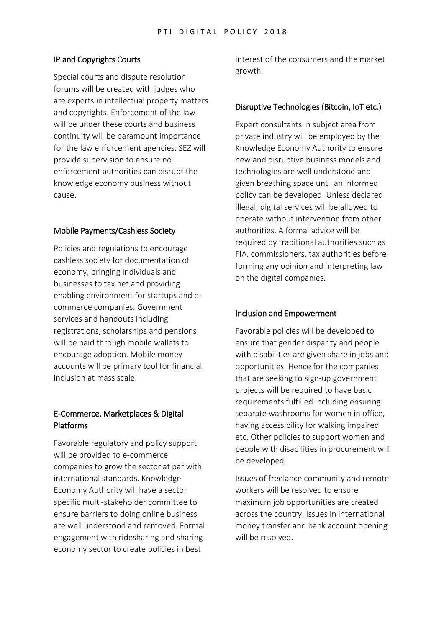#### IP and Copyrights Courts

Special courts and dispute resolution forums will be created with judges who are experts in intellectual property matters and copyrights. Enforcement of the law will be under these courts and business continuity will be paramount importance for the law enforcement agencies. SEZ will provide supervision to ensure no enforcement authorities can disrupt the knowledge economy business without cause.

#### Mobile Payments/Cashless Society

Policies and regulations to encourage cashless society for documentation of economy, bringing individuals and businesses to tax net and providing enabling environment for startups and ecommerce companies. Government services and handouts including registrations, scholarships and pensions will be paid through mobile wallets to encourage adoption. Mobile money accounts will be primary tool for financial inclusion at mass scale.

#### E-Commerce, Marketplaces & Digital Platforms

Favorable regulatory and policy support will be provided to e-commerce companies to grow the sector at par with international standards. Knowledge Economy Authority will have a sector specific multi-stakeholder committee to ensure barriers to doing online business are well understood and removed. Formal engagement with ridesharing and sharing economy sector to create policies in best

interest of the consumers and the market growth.

#### Disruptive Technologies (Bitcoin, IoT etc.)

Expert consultants in subject area from private industry will be employed by the Knowledge Economy Authority to ensure new and disruptive business models and technologies are well understood and given breathing space until an informed policy can be developed. Unless declared illegal, digital services will be allowed to operate without intervention from other authorities. A formal advice will be required by traditional authorities such as FIA, commissioners, tax authorities before forming any opinion and interpreting law on the digital companies.

#### Inclusion and Empowerment

Favorable policies will be developed to ensure that gender disparity and people with disabilities are given share in jobs and opportunities. Hence for the companies that are seeking to sign-up government projects will be required to have basic requirements fulfilled including ensuring separate washrooms for women in office, having accessibility for walking impaired etc. Other policies to support women and people with disabilities in procurement will be developed.

Issues of freelance community and remote workers will be resolved to ensure maximum job opportunities are created across the country. Issues in international money transfer and bank account opening will be resolved.